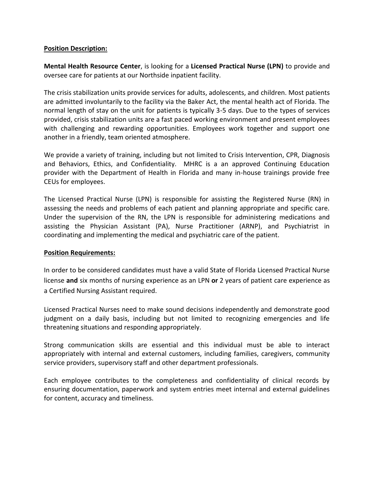#### **Position Description:**

**Mental Health Resource Center**, is looking for a **Licensed Practical Nurse (LPN)** to provide and oversee care for patients at our Northside inpatient facility.

The crisis stabilization units provide services for adults, adolescents, and children. Most patients are admitted involuntarily to the facility via the Baker Act, the mental health act of Florida. The normal length of stay on the unit for patients is typically 3-5 days. Due to the types of services provided, crisis stabilization units are a fast paced working environment and present employees with challenging and rewarding opportunities. Employees work together and support one another in a friendly, team oriented atmosphere.

We provide a variety of training, including but not limited to Crisis Intervention, CPR, Diagnosis and Behaviors, Ethics, and Confidentiality. MHRC is a an approved Continuing Education provider with the Department of Health in Florida and many in-house trainings provide free CEUs for employees.

The Licensed Practical Nurse (LPN) is responsible for assisting the Registered Nurse (RN) in assessing the needs and problems of each patient and planning appropriate and specific care. Under the supervision of the RN, the LPN is responsible for administering medications and assisting the Physician Assistant (PA), Nurse Practitioner (ARNP), and Psychiatrist in coordinating and implementing the medical and psychiatric care of the patient.

#### **Position Requirements:**

In order to be considered candidates must have a valid State of Florida Licensed Practical Nurse license **and** six months of nursing experience as an LPN **or** 2 years of patient care experience as a Certified Nursing Assistant required.

Licensed Practical Nurses need to make sound decisions independently and demonstrate good judgment on a daily basis, including but not limited to recognizing emergencies and life threatening situations and responding appropriately.

Strong communication skills are essential and this individual must be able to interact appropriately with internal and external customers, including families, caregivers, community service providers, supervisory staff and other department professionals.

Each employee contributes to the completeness and confidentiality of clinical records by ensuring documentation, paperwork and system entries meet internal and external guidelines for content, accuracy and timeliness.